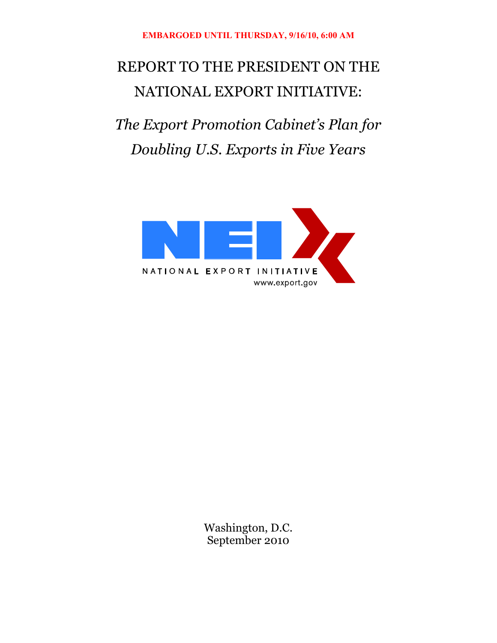# REPORT TO THE PRESIDENT ON THE NATIONAL EXPORT INITIATIVE:

*The Export Promotion Cabinet's Plan for Doubling U.S. Exports in Five Years* 



Washington, D.C. September 2010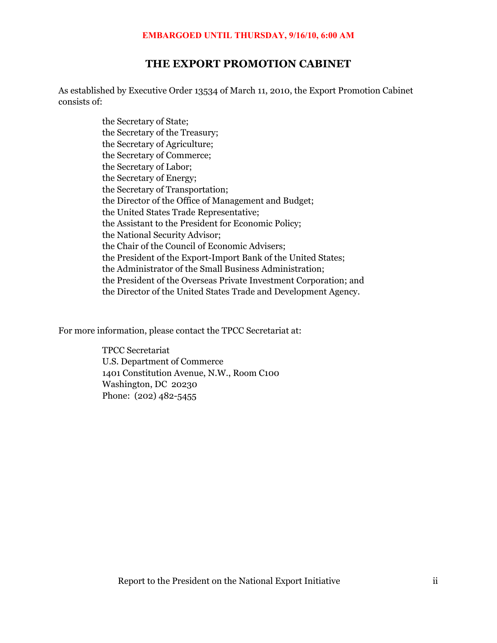# **THE EXPORT PROMOTION CABINET**

As established by Executive Order 13534 of March 11, 2010, the Export Promotion Cabinet consists of:

> the Secretary of State; the Secretary of the Treasury; the Secretary of Agriculture; the Secretary of Commerce; the Secretary of Labor; the Secretary of Energy; the Secretary of Transportation; the Director of the Office of Management and Budget; the United States Trade Representative; the Assistant to the President for Economic Policy; the National Security Advisor; the Chair of the Council of Economic Advisers; the President of the Export-Import Bank of the United States; the Administrator of the Small Business Administration; the President of the Overseas Private Investment Corporation; and the Director of the United States Trade and Development Agency.

For more information, please contact the TPCC Secretariat at:

TPCC Secretariat U.S. Department of Commerce 1401 Constitution Avenue, N.W., Room C100 Washington, DC 20230 Phone: (202) 482-5455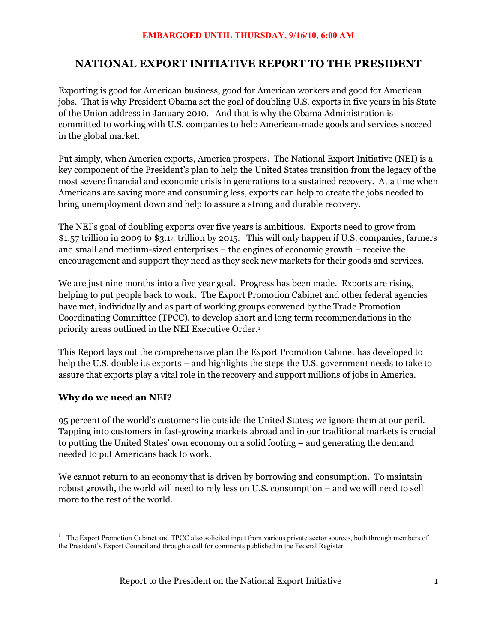# **NATIONAL EXPORT INITIATIVE REPORT TO THE PRESIDENT**

Exporting is good for American business, good for American workers and good for American jobs. That is why President Obama set the goal of doubling U.S. exports in five years in his State of the Union address in January 2010. And that is why the Obama Administration is committed to working with U.S. companies to help American-made goods and services succeed in the global market.

Put simply, when America exports, America prospers. The National Export Initiative (NEI) is a key component of the President's plan to help the United States transition from the legacy of the most severe financial and economic crisis in generations to a sustained recovery. At a time when Americans are saving more and consuming less, exports can help to create the jobs needed to bring unemployment down and help to assure a strong and durable recovery.

The NEI's goal of doubling exports over five years is ambitious. Exports need to grow from \$1.57 trillion in 2009 to \$3.14 trillion by 2015. This will only happen if U.S. companies, farmers and small and medium-sized enterprises – the engines of economic growth – receive the encouragement and support they need as they seek new markets for their goods and services.

We are just nine months into a five year goal. Progress has been made. Exports are rising, helping to put people back to work. The Export Promotion Cabinet and other federal agencies have met, individually and as part of working groups convened by the Trade Promotion Coordinating Committee (TPCC), to develop short and long term recommendations in the priority areas outlined in the NEI Executive Order.1

This Report lays out the comprehensive plan the Export Promotion Cabinet has developed to help the U.S. double its exports – and highlights the steps the U.S. government needs to take to assure that exports play a vital role in the recovery and support millions of jobs in America.

# **Why do we need an NEI?**

95 percent of the world's customers lie outside the United States; we ignore them at our peril. Tapping into customers in fast-growing markets abroad and in our traditional markets is crucial to putting the United States' own economy on a solid footing – and generating the demand needed to put Americans back to work.

We cannot return to an economy that is driven by borrowing and consumption. To maintain robust growth, the world will need to rely less on U.S. consumption – and we will need to sell more to the rest of the world.

<sup>-</sup><sup>1</sup> The Export Promotion Cabinet and TPCC also solicited input from various private sector sources, both through members of the President's Export Council and through a call for comments published in the Federal Register.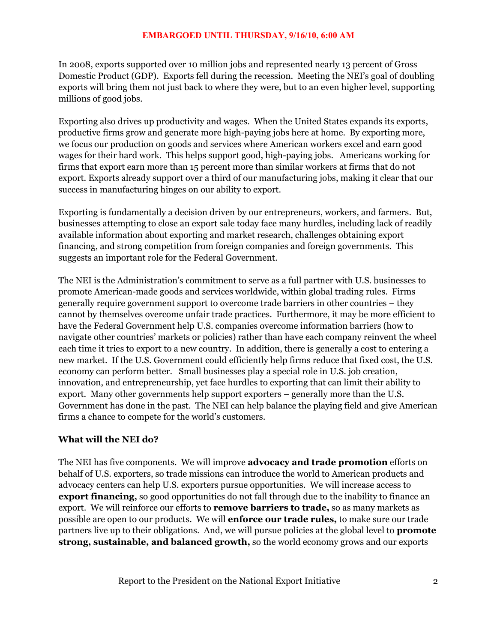In 2008, exports supported over 10 million jobs and represented nearly 13 percent of Gross Domestic Product (GDP). Exports fell during the recession. Meeting the NEI's goal of doubling exports will bring them not just back to where they were, but to an even higher level, supporting millions of good jobs.

Exporting also drives up productivity and wages. When the United States expands its exports, productive firms grow and generate more high-paying jobs here at home. By exporting more, we focus our production on goods and services where American workers excel and earn good wages for their hard work. This helps support good, high-paying jobs. Americans working for firms that export earn more than 15 percent more than similar workers at firms that do not export. Exports already support over a third of our manufacturing jobs, making it clear that our success in manufacturing hinges on our ability to export.

Exporting is fundamentally a decision driven by our entrepreneurs, workers, and farmers. But, businesses attempting to close an export sale today face many hurdles, including lack of readily available information about exporting and market research, challenges obtaining export financing, and strong competition from foreign companies and foreign governments. This suggests an important role for the Federal Government.

The NEI is the Administration's commitment to serve as a full partner with U.S. businesses to promote American-made goods and services worldwide, within global trading rules. Firms generally require government support to overcome trade barriers in other countries – they cannot by themselves overcome unfair trade practices. Furthermore, it may be more efficient to have the Federal Government help U.S. companies overcome information barriers (how to navigate other countries' markets or policies) rather than have each company reinvent the wheel each time it tries to export to a new country. In addition, there is generally a cost to entering a new market. If the U.S. Government could efficiently help firms reduce that fixed cost, the U.S. economy can perform better. Small businesses play a special role in U.S. job creation, innovation, and entrepreneurship, yet face hurdles to exporting that can limit their ability to export. Many other governments help support exporters – generally more than the U.S. Government has done in the past. The NEI can help balance the playing field and give American firms a chance to compete for the world's customers.

#### **What will the NEI do?**

The NEI has five components. We will improve **advocacy and trade promotion** efforts on behalf of U.S. exporters, so trade missions can introduce the world to American products and advocacy centers can help U.S. exporters pursue opportunities. We will increase access to **export financing,** so good opportunities do not fall through due to the inability to finance an export. We will reinforce our efforts to **remove barriers to trade,** so as many markets as possible are open to our products. We will **enforce our trade rules,** to make sure our trade partners live up to their obligations. And, we will pursue policies at the global level to **promote strong, sustainable, and balanced growth,** so the world economy grows and our exports

Report to the President on the National Export Initiative 2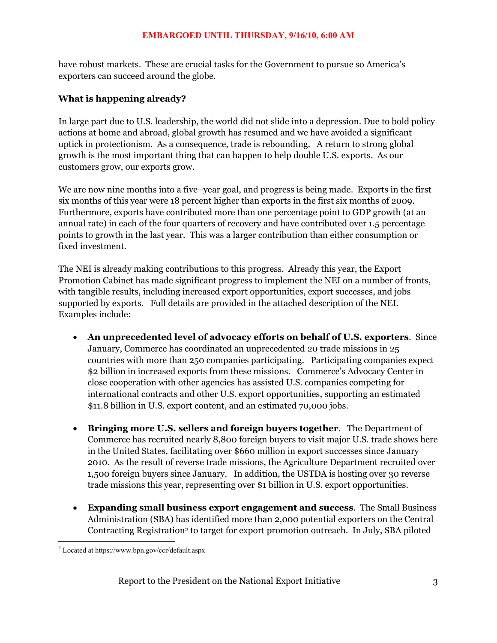have robust markets. These are crucial tasks for the Government to pursue so America's exporters can succeed around the globe.

### **What is happening already?**

In large part due to U.S. leadership, the world did not slide into a depression. Due to bold policy actions at home and abroad, global growth has resumed and we have avoided a significant uptick in protectionism. As a consequence, trade is rebounding. A return to strong global growth is the most important thing that can happen to help double U.S. exports. As our customers grow, our exports grow.

We are now nine months into a five–year goal, and progress is being made. Exports in the first six months of this year were 18 percent higher than exports in the first six months of 2009. Furthermore, exports have contributed more than one percentage point to GDP growth (at an annual rate) in each of the four quarters of recovery and have contributed over 1.5 percentage points to growth in the last year. This was a larger contribution than either consumption or fixed investment.

The NEI is already making contributions to this progress. Already this year, the Export Promotion Cabinet has made significant progress to implement the NEI on a number of fronts, with tangible results, including increased export opportunities, export successes, and jobs supported by exports. Full details are provided in the attached description of the NEI. Examples include:

- x **An unprecedented level of advocacy efforts on behalf of U.S. exporters***.* Since January, Commerce has coordinated an unprecedented 20 trade missions in 25 countries with more than 250 companies participating. Participating companies expect \$2 billion in increased exports from these missions. Commerce's Advocacy Center in close cooperation with other agencies has assisted U.S. companies competing for international contracts and other U.S. export opportunities, supporting an estimated \$11.8 billion in U.S. export content, and an estimated 70,000 jobs.
- x **Bringing more U.S. sellers and foreign buyers together**. The Department of Commerce has recruited nearly 8,800 foreign buyers to visit major U.S. trade shows here in the United States, facilitating over \$660 million in export successes since January 2010. As the result of reverse trade missions, the Agriculture Department recruited over 1,500 foreign buyers since January. In addition, the USTDA is hosting over 30 reverse trade missions this year, representing over \$1 billion in U.S. export opportunities.
- x **Expanding small business export engagement and success**. The Small Business Administration (SBA) has identified more than 2,000 potential exporters on the Central Contracting Registration<sup>2</sup> to target for export promotion outreach. In July, SBA piloted

 2 Located at https://www.bpn.gov/ccr/default.aspx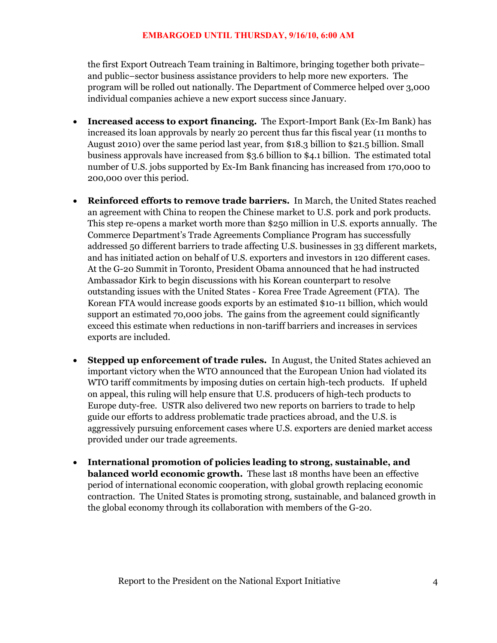the first Export Outreach Team training in Baltimore, bringing together both private– and public–sector business assistance providers to help more new exporters. The program will be rolled out nationally. The Department of Commerce helped over 3,000 individual companies achieve a new export success since January.

- x **Increased access to export financing.** The Export-Import Bank (Ex-Im Bank) has increased its loan approvals by nearly 20 percent thus far this fiscal year (11 months to August 2010) over the same period last year, from \$18.3 billion to \$21.5 billion. Small business approvals have increased from \$3.6 billion to \$4.1 billion. The estimated total number of U.S. jobs supported by Ex-Im Bank financing has increased from 170,000 to 200,000 over this period.
- x **Reinforced efforts to remove trade barriers.** In March, the United States reached an agreement with China to reopen the Chinese market to U.S. pork and pork products. This step re-opens a market worth more than \$250 million in U.S. exports annually. The Commerce Department's Trade Agreements Compliance Program has successfully addressed 50 different barriers to trade affecting U.S. businesses in 33 different markets, and has initiated action on behalf of U.S. exporters and investors in 120 different cases. At the G-20 Summit in Toronto, President Obama announced that he had instructed Ambassador Kirk to begin discussions with his Korean counterpart to resolve outstanding issues with the United States - Korea Free Trade Agreement (FTA). The Korean FTA would increase goods exports by an estimated \$10-11 billion, which would support an estimated 70,000 jobs. The gains from the agreement could significantly exceed this estimate when reductions in non-tariff barriers and increases in services exports are included.
- x **Stepped up enforcement of trade rules.** In August, the United States achieved an important victory when the WTO announced that the European Union had violated its WTO tariff commitments by imposing duties on certain high-tech products. If upheld on appeal, this ruling will help ensure that U.S. producers of high-tech products to Europe duty-free. USTR also delivered two new reports on barriers to trade to help guide our efforts to address problematic trade practices abroad, and the U.S. is aggressively pursuing enforcement cases where U.S. exporters are denied market access provided under our trade agreements.
- x **International promotion of policies leading to strong, sustainable, and balanced world economic growth.** These last 18 months have been an effective period of international economic cooperation, with global growth replacing economic contraction. The United States is promoting strong, sustainable, and balanced growth in the global economy through its collaboration with members of the G-20.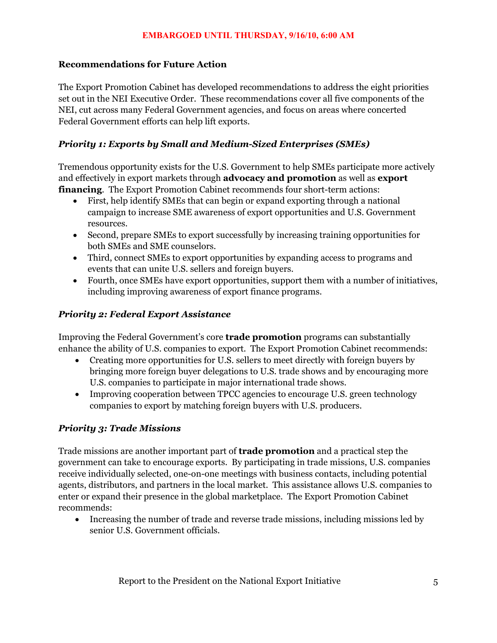### **Recommendations for Future Action**

The Export Promotion Cabinet has developed recommendations to address the eight priorities set out in the NEI Executive Order. These recommendations cover all five components of the NEI, cut across many Federal Government agencies, and focus on areas where concerted Federal Government efforts can help lift exports.

# *Priority 1: Exports by Small and Medium-Sized Enterprises (SMEs)*

Tremendous opportunity exists for the U.S. Government to help SMEs participate more actively and effectively in export markets through **advocacy and promotion** as well as **export financing**. The Export Promotion Cabinet recommends four short-term actions:

- x First, help identify SMEs that can begin or expand exporting through a national campaign to increase SME awareness of export opportunities and U.S. Government resources.
- x Second, prepare SMEs to export successfully by increasing training opportunities for both SMEs and SME counselors.
- Third, connect SMEs to export opportunities by expanding access to programs and events that can unite U.S. sellers and foreign buyers.
- Fourth, once SMEs have export opportunities, support them with a number of initiatives, including improving awareness of export finance programs.

### *Priority 2: Federal Export Assistance*

Improving the Federal Government's core **trade promotion** programs can substantially enhance the ability of U.S. companies to export. The Export Promotion Cabinet recommends:

- Creating more opportunities for U.S. sellers to meet directly with foreign buyers by bringing more foreign buyer delegations to U.S. trade shows and by encouraging more U.S. companies to participate in major international trade shows.
- Improving cooperation between TPCC agencies to encourage U.S. green technology companies to export by matching foreign buyers with U.S. producers.

#### *Priority 3: Trade Missions*

Trade missions are another important part of **trade promotion** and a practical step the government can take to encourage exports. By participating in trade missions, U.S. companies receive individually selected, one-on-one meetings with business contacts, including potential agents, distributors, and partners in the local market. This assistance allows U.S. companies to enter or expand their presence in the global marketplace. The Export Promotion Cabinet recommends:

• Increasing the number of trade and reverse trade missions, including missions led by senior U.S. Government officials.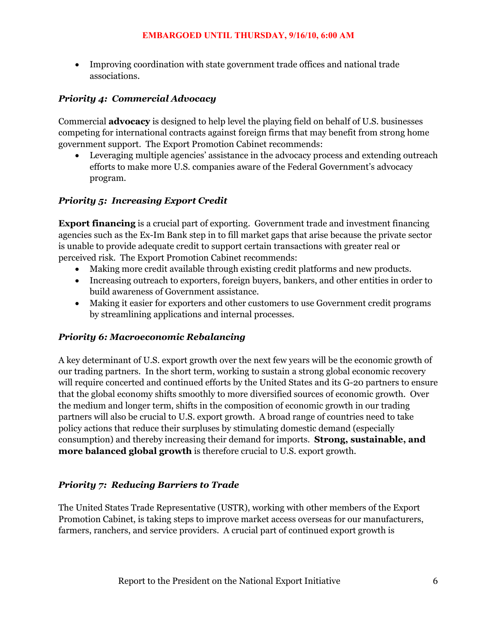• Improving coordination with state government trade offices and national trade associations.

# *Priority 4: Commercial Advocacy*

Commercial **advocacy** is designed to help level the playing field on behalf of U.S. businesses competing for international contracts against foreign firms that may benefit from strong home government support. The Export Promotion Cabinet recommends:

• Leveraging multiple agencies' assistance in the advocacy process and extending outreach efforts to make more U.S. companies aware of the Federal Government's advocacy program.

# *Priority 5: Increasing Export Credit*

**Export financing** is a crucial part of exporting. Government trade and investment financing agencies such as the Ex-Im Bank step in to fill market gaps that arise because the private sector is unable to provide adequate credit to support certain transactions with greater real or perceived risk. The Export Promotion Cabinet recommends:

- Making more credit available through existing credit platforms and new products.
- Increasing outreach to exporters, foreign buyers, bankers, and other entities in order to build awareness of Government assistance.
- Making it easier for exporters and other customers to use Government credit programs by streamlining applications and internal processes.

#### *Priority 6: Macroeconomic Rebalancing*

A key determinant of U.S. export growth over the next few years will be the economic growth of our trading partners. In the short term, working to sustain a strong global economic recovery will require concerted and continued efforts by the United States and its G-20 partners to ensure that the global economy shifts smoothly to more diversified sources of economic growth. Over the medium and longer term, shifts in the composition of economic growth in our trading partners will also be crucial to U.S. export growth. A broad range of countries need to take policy actions that reduce their surpluses by stimulating domestic demand (especially consumption) and thereby increasing their demand for imports. **Strong, sustainable, and more balanced global growth** is therefore crucial to U.S. export growth.

#### *Priority 7: Reducing Barriers to Trade*

The United States Trade Representative (USTR), working with other members of the Export Promotion Cabinet, is taking steps to improve market access overseas for our manufacturers, farmers, ranchers, and service providers. A crucial part of continued export growth is